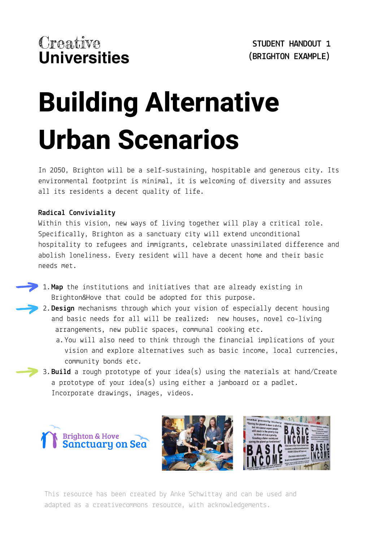# **Building Alternative Urban Scenarios**

In 2050, Brighton will be a self-sustaining, hospitable and generous city. Its environmental footprint is minimal, it is welcoming of diversity and assures all its residents a decent quality of life.

#### **Radical Conviviality**

Within this vision, new ways of living together will play a critical role. Specifically, Brighton as a sanctuary city will extend unconditional hospitality to refugees and immigrants, celebrate unassimilated difference and abolish loneliness. Every resident will have a decent home and their basic needs met.

- **Map** the institutions and initiatives that are already existing in 1. Brighton&Hove that could be adopted for this purpose.
	- **Design** mechanisms through which your vision of especially decent housing 2. and basic needs for all will be realized: new houses, novel co-living arrangements, new public spaces, communal cooking etc.
		- You will also need to think through the financial implications of your a. vision and explore alternatives such as basic income, local currencies, community bonds etc.
- **Build** a rough prototype of your idea(s) using the materials at hand/Create 3. a prototype of your idea(s) using either a jamboard or a padlet. Incorporate drawings, images, videos.

**Brighton & Hove** Sanctuary on Sea



This resource has been created by Anke Schwittay and can be used and adapted as a creativecommons resource, with acknowledgements.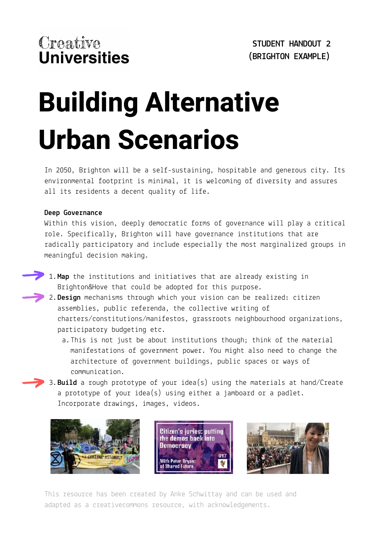# **Building Alternative Urban Scenarios**

In 2050, Brighton will be a self-sustaining, hospitable and generous city. Its environmental footprint is minimal, it is welcoming of diversity and assures all its residents a decent quality of life.

#### **Deep Governance**

Within this vision, deeply democratic forms of governance will play a critical role. Specifically, Brighton will have governance institutions that are radically participatory and include especially the most marginalized groups in meaningful decision making.

- **Map** the institutions and initiatives that are already existing in 1. Brighton&Hove that could be adopted for this purpose.
- **Design** mechanisms through which your vision can be realized: citizen 2. assemblies, public referenda, the collective writing of charters/constitutions/manifestos, grassroots neighbourhood organizations, participatory budgeting etc.
	- This is not just be about institutions though; think of the material a. manifestations of government power. You might also need to change the architecture of government buildings, public spaces or ways of communication.
- **Build** a rough prototype of your idea(s) using the materials at hand/Create 3. a prototype of your idea(s) using either a jamboard or a padlet. Incorporate drawings, images, videos.



**Citizen's juries: putting** the demos back into **Democracy** 017 **With Peter Bryant Shared Future** 



This resource has been created by Anke Schwittay and can be used and adapted as a creativecommons resource, with acknowledgements.